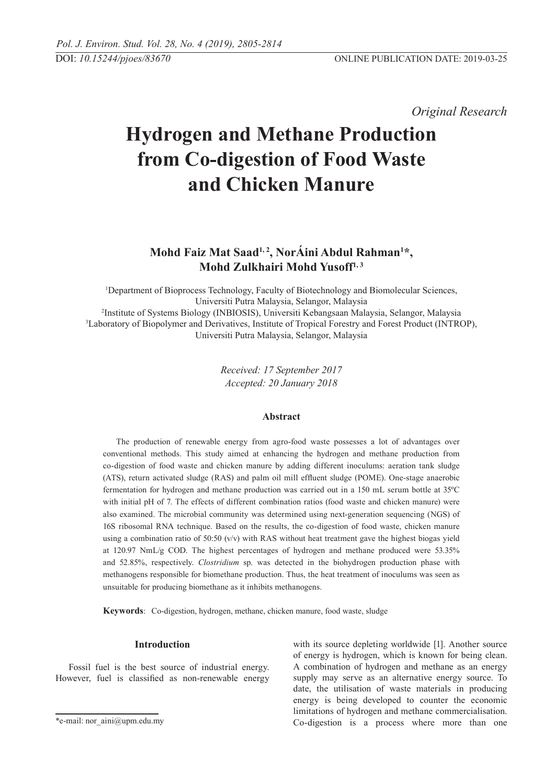*Original Research* 

# **Hydrogen and Methane Production from Co-digestion of Food Waste and Chicken Manure**

# **Mohd Faiz Mat Saad1, 2, NorÁini Abdul Rahman1 \*, Mohd Zulkhairi Mohd Yusoff1, 3**

1 Department of Bioprocess Technology, Faculty of Biotechnology and Biomolecular Sciences, Universiti Putra Malaysia, Selangor, Malaysia <sup>2</sup>Institute of Systems Biology (INBIOSIS), Universiti Kebangsaan Malaysia, Selangor, Malaysia<br><sup>3</sup>I aboratory of Bionolymer and Derivatives, Institute of Tropical Eorestry and Eorest Product (INTR <sup>3</sup>Laboratory of Biopolymer and Derivatives, Institute of Tropical Forestry and Forest Product (INTROP), Universiti Putra Malaysia, Selangor, Malaysia

> *Received: 17 September 2017 Accepted: 20 January 2018*

# **Abstract**

The production of renewable energy from agro-food waste possesses a lot of advantages over conventional methods. This study aimed at enhancing the hydrogen and methane production from co-digestion of food waste and chicken manure by adding different inoculums: aeration tank sludge (ATS), return activated sludge (RAS) and palm oil mill effluent sludge (POME). One-stage anaerobic fermentation for hydrogen and methane production was carried out in a 150 mL serum bottle at 35ºC with initial pH of 7. The effects of different combination ratios (food waste and chicken manure) were also examined. The microbial community was determined using next-generation sequencing (NGS) of 16S ribosomal RNA technique. Based on the results, the co-digestion of food waste, chicken manure using a combination ratio of 50:50 ( $v/v$ ) with RAS without heat treatment gave the highest biogas yield at 120.97 NmL/g COD. The highest percentages of hydrogen and methane produced were 53.35% and 52.85%, respectively. *Clostridium* sp. was detected in the biohydrogen production phase with methanogens responsible for biomethane production. Thus, the heat treatment of inoculums was seen as unsuitable for producing biomethane as it inhibits methanogens.

**Keywords**: Co-digestion, hydrogen, methane, chicken manure, food waste, sludge

#### **Introduction**

Fossil fuel is the best source of industrial energy. However, fuel is classified as non-renewable energy with its source depleting worldwide [1]. Another source of energy is hydrogen, which is known for being clean. A combination of hydrogen and methane as an energy supply may serve as an alternative energy source. To date, the utilisation of waste materials in producing energy is being developed to counter the economic limitations of hydrogen and methane commercialisation. Co-digestion is a process where more than one

<sup>\*</sup>e-mail: nor\_aini@upm.edu.my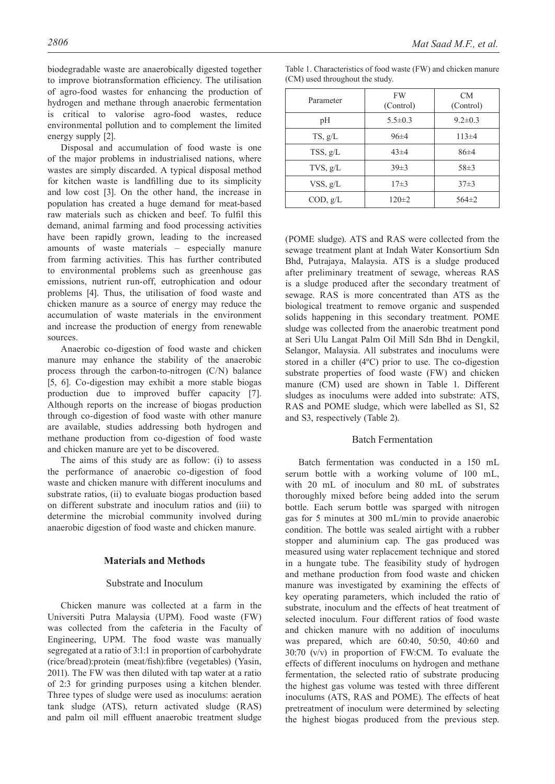biodegradable waste are anaerobically digested together to improve biotransformation efficiency. The utilisation of agro-food wastes for enhancing the production of hydrogen and methane through anaerobic fermentation is critical to valorise agro-food wastes, reduce environmental pollution and to complement the limited energy supply [2].

Disposal and accumulation of food waste is one of the major problems in industrialised nations, where wastes are simply discarded. A typical disposal method for kitchen waste is landfilling due to its simplicity and low cost [3]. On the other hand, the increase in population has created a huge demand for meat-based raw materials such as chicken and beef. To fulfil this demand, animal farming and food processing activities have been rapidly grown, leading to the increased amounts of waste materials – especially manure from farming activities. This has further contributed to environmental problems such as greenhouse gas emissions, nutrient run-off, eutrophication and odour problems [4]. Thus, the utilisation of food waste and chicken manure as a source of energy may reduce the accumulation of waste materials in the environment and increase the production of energy from renewable sources.

Anaerobic co-digestion of food waste and chicken manure may enhance the stability of the anaerobic process through the carbon-to-nitrogen (C/N) balance [5, 6]. Co-digestion may exhibit a more stable biogas production due to improved buffer capacity [7]. Although reports on the increase of biogas production through co-digestion of food waste with other manure are available, studies addressing both hydrogen and methane production from co-digestion of food waste and chicken manure are yet to be discovered.

The aims of this study are as follow: (i) to assess the performance of anaerobic co-digestion of food waste and chicken manure with different inoculums and substrate ratios, (ii) to evaluate biogas production based on different substrate and inoculum ratios and (iii) to determine the microbial community involved during anaerobic digestion of food waste and chicken manure.

#### **Materials and Methods**

#### Substrate and Inoculum

Chicken manure was collected at a farm in the Universiti Putra Malaysia (UPM). Food waste (FW) was collected from the cafeteria in the Faculty of Engineering, UPM. The food waste was manually segregated at a ratio of 3:1:1 in proportion of carbohydrate (rice/bread):protein (meat/fish):fibre (vegetables) (Yasin, 2011). The FW was then diluted with tap water at a ratio of 2:3 for grinding purposes using a kitchen blender. Three types of sludge were used as inoculums: aeration tank sludge (ATS), return activated sludge (RAS) and palm oil mill effluent anaerobic treatment sludge

| Parameter | <b>FW</b><br>(Control) | CM <sub></sub><br>(Control) |
|-----------|------------------------|-----------------------------|
| pН        | $5.5 \pm 0.3$          | $9.2 \pm 0.3$               |
| TS, g/L   | $96\pm4$               | $113\pm4$                   |
| TSS, g/L  | $43\pm4$               | 86±4                        |
| TVS, g/L  | $39 \pm 3$             | $58 \pm 3$                  |
| VSS, g/L  | $17\pm3$               | $37\pm3$                    |
| COD, g/L  | $120 \pm 2$            | $564 \pm 2$                 |

Table 1. Characteristics of food waste (FW) and chicken manure (CM) used throughout the study.

(POME sludge). ATS and RAS were collected from the sewage treatment plant at Indah Water Konsortium Sdn Bhd, Putrajaya, Malaysia. ATS is a sludge produced after preliminary treatment of sewage, whereas RAS is a sludge produced after the secondary treatment of sewage. RAS is more concentrated than ATS as the biological treatment to remove organic and suspended solids happening in this secondary treatment. POME sludge was collected from the anaerobic treatment pond at Seri Ulu Langat Palm Oil Mill Sdn Bhd in Dengkil, Selangor, Malaysia. All substrates and inoculums were stored in a chiller (4ºC) prior to use. The co-digestion substrate properties of food waste (FW) and chicken manure (CM) used are shown in Table 1. Different sludges as inoculums were added into substrate: ATS, RAS and POME sludge, which were labelled as S1, S2 and S3, respectively (Table 2).

#### Batch Fermentation

Batch fermentation was conducted in a 150 mL serum bottle with a working volume of 100 mL, with 20 mL of inoculum and 80 mL of substrates thoroughly mixed before being added into the serum bottle. Each serum bottle was sparged with nitrogen gas for 5 minutes at 300 mL/min to provide anaerobic condition. The bottle was sealed airtight with a rubber stopper and aluminium cap. The gas produced was measured using water replacement technique and stored in a hungate tube. The feasibility study of hydrogen and methane production from food waste and chicken manure was investigated by examining the effects of key operating parameters, which included the ratio of substrate, inoculum and the effects of heat treatment of selected inoculum. Four different ratios of food waste and chicken manure with no addition of inoculums was prepared, which are 60:40, 50:50, 40:60 and 30:70 (v/v) in proportion of FW:CM. To evaluate the effects of different inoculums on hydrogen and methane fermentation, the selected ratio of substrate producing the highest gas volume was tested with three different inoculums (ATS, RAS and POME). The effects of heat pretreatment of inoculum were determined by selecting the highest biogas produced from the previous step.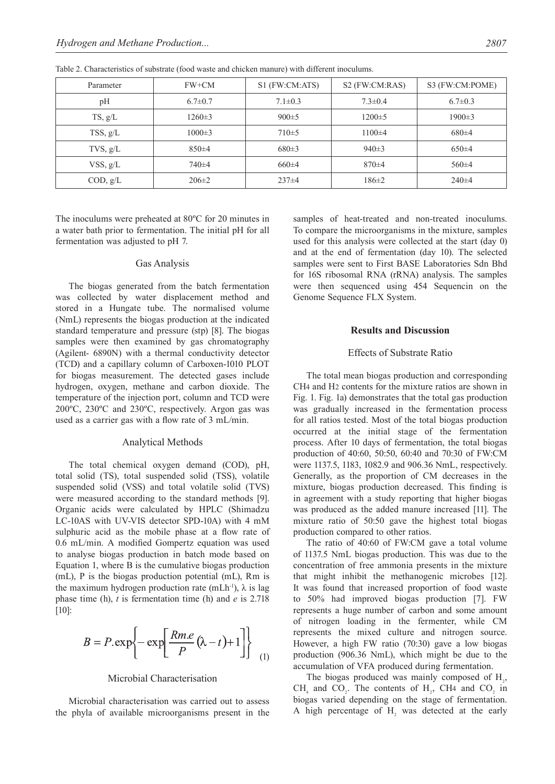| Parameter     | FW+CM         | S1 (FW:CM:ATS) | S <sub>2</sub> (FW:CM:RAS) | S3 (FW:CM:POME) |
|---------------|---------------|----------------|----------------------------|-----------------|
| pH            | $6.7 \pm 0.7$ | $7.1 \pm 0.3$  | $7.3 \pm 0.4$              | $6.7 \pm 0.3$   |
| TS, g/L       | $1260 \pm 3$  | $900 \pm 5$    | $1200 \pm 5$               | $1900 \pm 3$    |
| TSS, g/L      | $1000 \pm 3$  | $710 \pm 5$    | $1100\pm4$                 | 680±4           |
| $TVS$ , $g/L$ | $850+4$       | 680±3          | 940±3                      | $650\pm4$       |
| VSS, g/L      | 740±4         | 660±4          | $870+4$                    | 560±4           |
| COD, g/L      | $206 \pm 2$   | $237\pm4$      | $186 \pm 2$                | $240 \pm 4$     |

Table 2. Characteristics of substrate (food waste and chicken manure) with different inoculums.

The inoculums were preheated at 80ºC for 20 minutes in a water bath prior to fermentation. The initial pH for all fermentation was adjusted to pH 7.

#### Gas Analysis

The biogas generated from the batch fermentation was collected by water displacement method and stored in a Hungate tube. The normalised volume (NmL) represents the biogas production at the indicated standard temperature and pressure (stp) [8]. The biogas samples were then examined by gas chromatography (Agilent- 6890N) with a thermal conductivity detector (TCD) and a capillary column of Carboxen-1010 PLOT for biogas measurement. The detected gases include hydrogen, oxygen, methane and carbon dioxide. The temperature of the injection port, column and TCD were 200ºC, 230ºC and 230ºC, respectively. Argon gas was used as a carrier gas with a flow rate of 3 mL/min.

## Analytical Methods

The total chemical oxygen demand (COD), pH, total solid (TS), total suspended solid (TSS), volatile suspended solid (VSS) and total volatile solid (TVS) were measured according to the standard methods [9]. Organic acids were calculated by HPLC (Shimadzu LC-10AS with UV-VIS detector SPD-10A) with 4 mM sulphuric acid as the mobile phase at a flow rate of 0.6 mL/min. A modified Gompertz equation was used to analyse biogas production in batch mode based on Equation 1, where B is the cumulative biogas production (mL), P is the biogas production potential (mL), Rm is the maximum hydrogen production rate (mLh<sup>-1</sup>),  $\lambda$  is lag phase time (h), *t* is fermentation time (h) and *e* is 2.718 [10]:

$$
B = P \cdot \exp\left\{-\exp\left[\frac{Rm.e}{P}(\lambda - t) + 1\right]\right\}
$$
 (1)

#### Microbial Characterisation

Microbial characterisation was carried out to assess the phyla of available microorganisms present in the samples of heat-treated and non-treated inoculums. To compare the microorganisms in the mixture, samples used for this analysis were collected at the start (day 0) and at the end of fermentation (day 10). The selected samples were sent to First BASE Laboratories Sdn Bhd for 16S ribosomal RNA (rRNA) analysis. The samples were then sequenced using 454 Sequencin on the Genome Sequence FLX System.

## **Results and Discussion**

## Effects of Substrate Ratio

The total mean biogas production and corresponding CH4 and H2 contents for the mixture ratios are shown in Fig. 1. Fig. 1a) demonstrates that the total gas production was gradually increased in the fermentation process for all ratios tested. Most of the total biogas production occurred at the initial stage of the fermentation process. After 10 days of fermentation, the total biogas production of 40:60, 50:50, 60:40 and 70:30 of FW:CM were 1137.5, 1183, 1082.9 and 906.36 NmL, respectively. Generally, as the proportion of CM decreases in the mixture, biogas production decreased. This finding is in agreement with a study reporting that higher biogas was produced as the added manure increased [11]. The mixture ratio of 50:50 gave the highest total biogas production compared to other ratios.

The ratio of 40:60 of FW:CM gave a total volume of 1137.5 NmL biogas production. This was due to the concentration of free ammonia presents in the mixture that might inhibit the methanogenic microbes [12]. It was found that increased proportion of food waste to 50% had improved biogas production [7]. FW represents a huge number of carbon and some amount of nitrogen loading in the fermenter, while CM represents the mixed culture and nitrogen source. However, a high FW ratio (70:30) gave a low biogas production (906.36 NmL), which might be due to the accumulation of VFA produced during fermentation.

The biogas produced was mainly composed of  $H<sub>2</sub>$ ,  $CH<sub>4</sub>$  and  $CO<sub>2</sub>$ . The contents of  $H<sub>2</sub>$ , CH4 and  $CO<sub>2</sub>$  in biogas varied depending on the stage of fermentation. A high percentage of  $H_2$  was detected at the early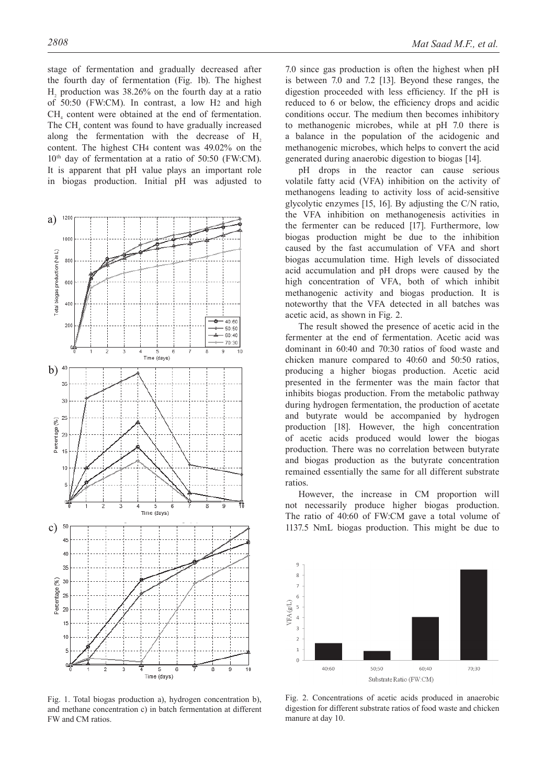stage of fermentation and gradually decreased after the fourth day of fermentation (Fig. 1b). The highest  $H<sub>2</sub>$  production was 38.26% on the fourth day at a ratio of 50:50 (FW:CM). In contrast, a low H2 and high  $CH<sub>4</sub>$  content were obtained at the end of fermentation. The  $CH<sub>4</sub>$  content was found to have gradually increased along the fermentation with the decrease of H<sub>2</sub> content. The highest CH4 content was 49.02% on the  $10<sup>th</sup>$  day of fermentation at a ratio of 50:50 (FW:CM). It is apparent that pH value plays an important role in biogas production. Initial pH was adjusted to



Fig. 1. Total biogas production a), hydrogen concentration b), and methane concentration c) in batch fermentation at different FW and CM ratios.

7.0 since gas production is often the highest when pH is between 7.0 and 7.2 [13]. Beyond these ranges, the digestion proceeded with less efficiency. If the pH is reduced to 6 or below, the efficiency drops and acidic conditions occur. The medium then becomes inhibitory to methanogenic microbes, while at pH 7.0 there is a balance in the population of the acidogenic and methanogenic microbes, which helps to convert the acid generated during anaerobic digestion to biogas [14].

pH drops in the reactor can cause serious volatile fatty acid (VFA) inhibition on the activity of methanogens leading to activity loss of acid-sensitive glycolytic enzymes [15, 16]. By adjusting the C/N ratio, the VFA inhibition on methanogenesis activities in the fermenter can be reduced [17]. Furthermore, low biogas production might be due to the inhibition caused by the fast accumulation of VFA and short biogas accumulation time. High levels of dissociated acid accumulation and pH drops were caused by the high concentration of VFA, both of which inhibit methanogenic activity and biogas production. It is noteworthy that the VFA detected in all batches was acetic acid, as shown in Fig. 2.

The result showed the presence of acetic acid in the fermenter at the end of fermentation. Acetic acid was dominant in 60:40 and 70:30 ratios of food waste and chicken manure compared to 40:60 and 50:50 ratios, producing a higher biogas production. Acetic acid presented in the fermenter was the main factor that inhibits biogas production. From the metabolic pathway during hydrogen fermentation, the production of acetate and butyrate would be accompanied by hydrogen production [18]. However, the high concentration of acetic acids produced would lower the biogas production. There was no correlation between butyrate and biogas production as the butyrate concentration remained essentially the same for all different substrate ratios.

However, the increase in CM proportion will not necessarily produce higher biogas production. The ratio of 40:60 of FW:CM gave a total volume of 1137.5 NmL biogas production. This might be due to



Fig. 2. Concentrations of acetic acids produced in anaerobic digestion for different substrate ratios of food waste and chicken manure at day 10.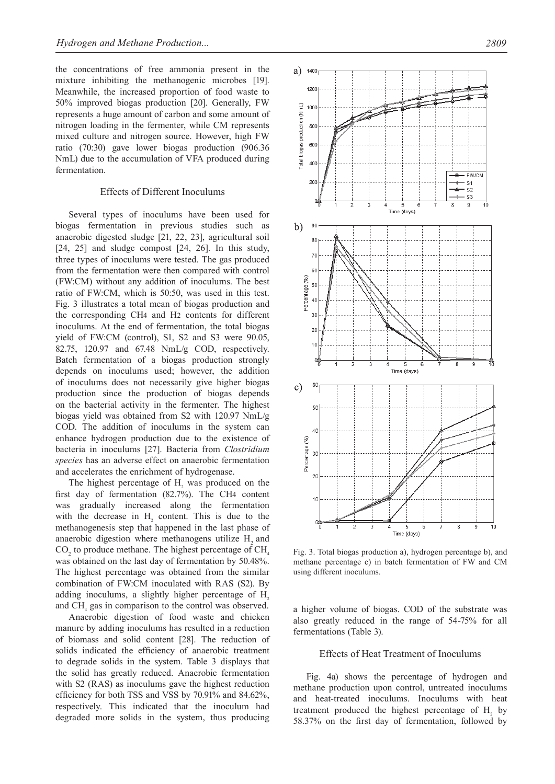the concentrations of free ammonia present in the mixture inhibiting the methanogenic microbes [19]. Meanwhile, the increased proportion of food waste to 50% improved biogas production [20]. Generally, FW represents a huge amount of carbon and some amount of nitrogen loading in the fermenter, while CM represents mixed culture and nitrogen source. However, high FW ratio (70:30) gave lower biogas production (906.36 NmL) due to the accumulation of VFA produced during fermentation.

#### Effects of Different Inoculums

Several types of inoculums have been used for biogas fermentation in previous studies such as anaerobic digested sludge [21, 22, 23], agricultural soil [24, 25] and sludge compost [24, 26]. In this study, three types of inoculums were tested. The gas produced from the fermentation were then compared with control (FW:CM) without any addition of inoculums. The best ratio of FW:CM, which is 50:50, was used in this test. Fig. 3 illustrates a total mean of biogas production and the corresponding CH4 and H2 contents for different inoculums. At the end of fermentation, the total biogas yield of FW:CM (control), S1, S2 and S3 were 90.05, 82.75, 120.97 and 67.48 NmL/g COD, respectively. Batch fermentation of a biogas production strongly depends on inoculums used; however, the addition of inoculums does not necessarily give higher biogas production since the production of biogas depends on the bacterial activity in the fermenter. The highest biogas yield was obtained from S2 with 120.97 NmL/g COD. The addition of inoculums in the system can enhance hydrogen production due to the existence of bacteria in inoculums [27]. Bacteria from *Clostridium species* has an adverse effect on anaerobic fermentation and accelerates the enrichment of hydrogenase.

The highest percentage of  $H<sub>2</sub>$  was produced on the first day of fermentation (82.7%). The CH4 content was gradually increased along the fermentation with the decrease in  $H<sub>2</sub>$  content. This is due to the methanogenesis step that happened in the last phase of anaerobic digestion where methanogens utilize H<sub>2</sub> and  $CO<sub>2</sub>$  to produce methane. The highest percentage of CH<sub>4</sub> was obtained on the last day of fermentation by 50.48%. The highest percentage was obtained from the similar combination of FW:CM inoculated with RAS (S2). By adding inoculums, a slightly higher percentage of H<sub>2</sub> and  $CH<sub>4</sub>$  gas in comparison to the control was observed.

Anaerobic digestion of food waste and chicken manure by adding inoculums has resulted in a reduction of biomass and solid content [28]. The reduction of solids indicated the efficiency of anaerobic treatment to degrade solids in the system. Table 3 displays that the solid has greatly reduced. Anaerobic fermentation with S2 (RAS) as inoculums gave the highest reduction efficiency for both TSS and VSS by 70.91% and 84.62%, respectively. This indicated that the inoculum had degraded more solids in the system, thus producing



Fig. 3. Total biogas production a), hydrogen percentage b), and methane percentage c) in batch fermentation of FW and CM using different inoculums.

a higher volume of biogas. COD of the substrate was also greatly reduced in the range of 54-75% for all fermentations (Table 3).

#### Effects of Heat Treatment of Inoculums

Fig. 4a) shows the percentage of hydrogen and methane production upon control, untreated inoculums and heat-treated inoculums. Inoculums with heat treatment produced the highest percentage of  $H_2$  by 58.37% on the first day of fermentation, followed by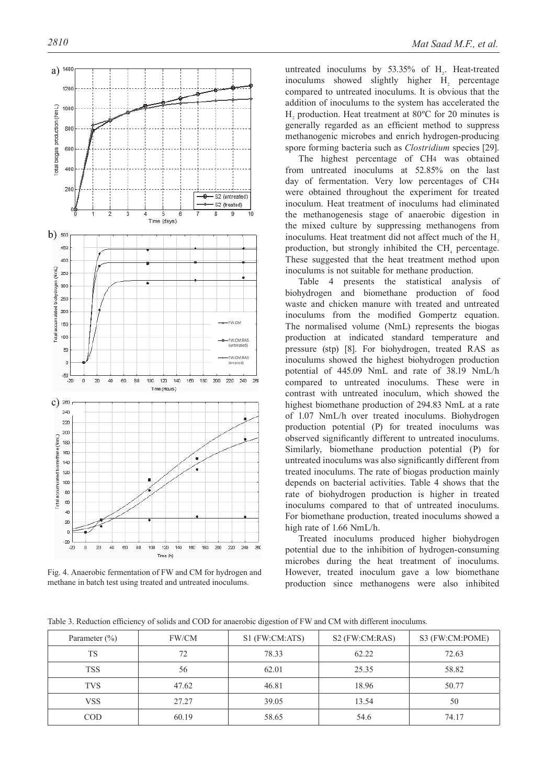

Fig. 4. Anaerobic fermentation of FW and CM for hydrogen and methane in batch test using treated and untreated inoculums.

untreated inoculums by  $53.35\%$  of  $H_2$ . Heat-treated inoculums showed slightly higher  $H<sub>2</sub>$  percentage compared to untreated inoculums. It is obvious that the addition of inoculums to the system has accelerated the  $H<sub>2</sub>$  production. Heat treatment at 80°C for 20 minutes is generally regarded as an efficient method to suppress methanogenic microbes and enrich hydrogen-producing spore forming bacteria such as *Clostridium* species [29].

The highest percentage of CH4 was obtained from untreated inoculums at 52.85% on the last day of fermentation. Very low percentages of CH4 were obtained throughout the experiment for treated inoculum. Heat treatment of inoculums had eliminated the methanogenesis stage of anaerobic digestion in the mixed culture by suppressing methanogens from inoculums. Heat treatment did not affect much of the  $H<sub>2</sub>$ production, but strongly inhibited the  $CH<sub>4</sub>$  percentage. These suggested that the heat treatment method upon inoculums is not suitable for methane production.

Table 4 presents the statistical analysis of biohydrogen and biomethane production of food waste and chicken manure with treated and untreated inoculums from the modified Gompertz equation. The normalised volume (NmL) represents the biogas production at indicated standard temperature and pressure (stp) [8]. For biohydrogen, treated RAS as inoculums showed the highest biohydrogen production potential of 445.09 NmL and rate of 38.19 NmL/h compared to untreated inoculums. These were in contrast with untreated inoculum, which showed the highest biomethane production of 294.83 NmL at a rate of 1.07 NmL/h over treated inoculums. Biohydrogen production potential (P) for treated inoculums was observed significantly different to untreated inoculums. Similarly, biomethane production potential (P) for untreated inoculums was also significantly different from treated inoculums. The rate of biogas production mainly depends on bacterial activities. Table 4 shows that the rate of biohydrogen production is higher in treated inoculums compared to that of untreated inoculums. For biomethane production, treated inoculums showed a high rate of 1.66 NmL/h.

Treated inoculums produced higher biohydrogen potential due to the inhibition of hydrogen-consuming microbes during the heat treatment of inoculums. However, treated inoculum gave a low biomethane production since methanogens were also inhibited

Table 3. Reduction efficiency of solids and COD for anaerobic digestion of FW and CM with different inoculums.

| Parameter $(\% )$ | FW/CM | S1 (FW:CM:ATS) | S <sub>2</sub> (FW:CM:RAS) | S3 (FW:CM:POME) |
|-------------------|-------|----------------|----------------------------|-----------------|
| <b>TS</b>         | 72    | 78.33          | 62.22                      | 72.63           |
| <b>TSS</b>        | 56    | 62.01          | 25.35                      | 58.82           |
| <b>TVS</b>        | 47.62 | 46.81          | 18.96                      | 50.77           |
| <b>VSS</b>        | 27.27 | 39.05          | 13.54                      | 50              |
| <b>COD</b>        | 60.19 | 58.65          | 54.6                       | 74.17           |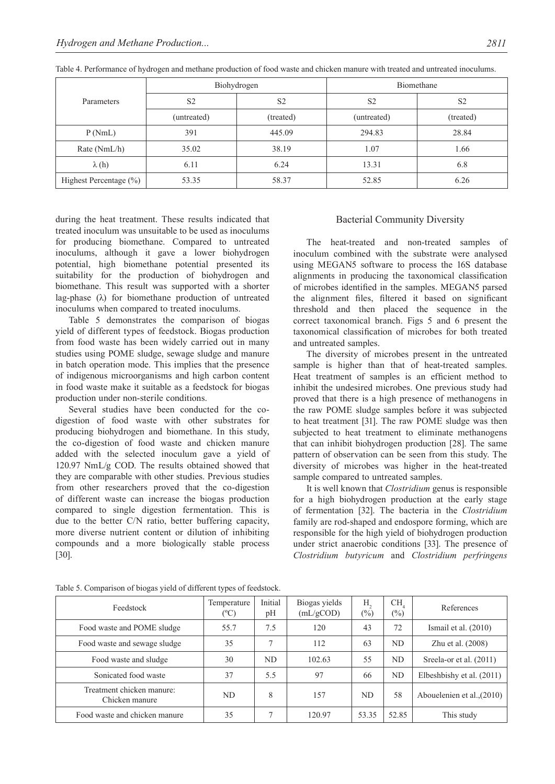|                            |                | Biohydrogen    | Biomethane     |                |  |
|----------------------------|----------------|----------------|----------------|----------------|--|
| Parameters                 | S <sub>2</sub> | S <sub>2</sub> | S <sub>2</sub> | S <sub>2</sub> |  |
|                            | (untreated)    | (treated)      |                | (treated)      |  |
| P(NmL)                     | 391            | 445.09         | 294.83         | 28.84          |  |
| Rate $(NmL/h)$             | 35.02          | 38.19          | 1.07           | 1.66           |  |
| $\lambda(h)$               | 6.11           | 6.24           | 13.31          | 6.8            |  |
| Highest Percentage $(\% )$ | 53.35          | 58.37          | 52.85          | 6.26           |  |

Table 4. Performance of hydrogen and methane production of food waste and chicken manure with treated and untreated inoculums.

during the heat treatment. These results indicated that treated inoculum was unsuitable to be used as inoculums for producing biomethane. Compared to untreated inoculums, although it gave a lower biohydrogen potential, high biomethane potential presented its suitability for the production of biohydrogen and biomethane. This result was supported with a shorter lag-phase (λ) for biomethane production of untreated inoculums when compared to treated inoculums.

Table 5 demonstrates the comparison of biogas yield of different types of feedstock. Biogas production from food waste has been widely carried out in many studies using POME sludge, sewage sludge and manure in batch operation mode. This implies that the presence of indigenous microorganisms and high carbon content in food waste make it suitable as a feedstock for biogas production under non-sterile conditions.

Several studies have been conducted for the codigestion of food waste with other substrates for producing biohydrogen and biomethane. In this study, the co-digestion of food waste and chicken manure added with the selected inoculum gave a yield of 120.97 NmL/g COD. The results obtained showed that they are comparable with other studies. Previous studies from other researchers proved that the co-digestion of different waste can increase the biogas production compared to single digestion fermentation. This is due to the better C/N ratio, better buffering capacity, more diverse nutrient content or dilution of inhibiting compounds and a more biologically stable process [30].

# Bacterial Community Diversity

The heat-treated and non-treated samples of inoculum combined with the substrate were analysed using MEGAN5 software to process the 16S database alignments in producing the taxonomical classification of microbes identified in the samples. MEGAN5 parsed the alignment files, filtered it based on significant threshold and then placed the sequence in the correct taxonomical branch. Figs 5 and 6 present the taxonomical classification of microbes for both treated and untreated samples.

The diversity of microbes present in the untreated sample is higher than that of heat-treated samples. Heat treatment of samples is an efficient method to inhibit the undesired microbes. One previous study had proved that there is a high presence of methanogens in the raw POME sludge samples before it was subjected to heat treatment [31]. The raw POME sludge was then subjected to heat treatment to eliminate methanogens that can inhibit biohydrogen production [28]. The same pattern of observation can be seen from this study. The diversity of microbes was higher in the heat-treated sample compared to untreated samples.

It is well known that *Clostridium* genus is responsible for a high biohydrogen production at the early stage of fermentation [32]. The bacteria in the *Clostridium* family are rod-shaped and endospore forming, which are responsible for the high yield of biohydrogen production under strict anaerobic conditions [33]. The presence of *Clostridium butyricum* and *Clostridium perfringens*

| Feedstock                                   | Temperature<br>$(^{\circ}C)$ | Initial<br>pH | Biogas yields<br>(mL/gCOD) | Н,<br>$(\%)$ | CH.<br>$(\%)$ | References                   |
|---------------------------------------------|------------------------------|---------------|----------------------------|--------------|---------------|------------------------------|
| Food waste and POME sludge                  | 55.7                         | 7.5           | 120                        | 43           | 72            | Ismail et al. $(2010)$       |
| Food waste and sewage sludge                | 35                           |               | 112                        | 63           | ND.           | Zhu et al. (2008)            |
| Food waste and sludge                       | 30                           | ND.           | 102.63                     | 55           | ND.           | Sreela-or et al. (2011)      |
| Sonicated food waste                        | 37                           | 5.5           | 97                         | 66           | ND            | Elbeshbishy et al. (2011)    |
| Treatment chicken manure:<br>Chicken manure | ND                           | 8             | 157                        | ND.          | 58            | Abouelenien et al., $(2010)$ |
| Food waste and chicken manure               | 35                           |               | 120.97                     | 53.35        | 52.85         | This study                   |

Table 5. Comparison of biogas yield of different types of feedstock.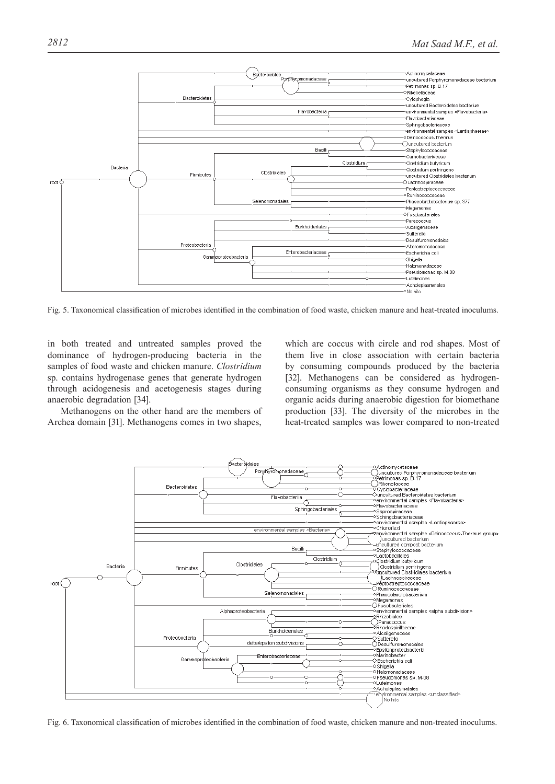

Fig. 5. Taxonomical classification of microbes identified in the combination of food waste, chicken manure and heat-treated inoculums.

in both treated and untreated samples proved the dominance of hydrogen-producing bacteria in the samples of food waste and chicken manure. *Clostridium*  sp. contains hydrogenase genes that generate hydrogen through acidogenesis and acetogenesis stages during anaerobic degradation [34].

Methanogens on the other hand are the members of Archea domain [31]. Methanogens comes in two shapes,

which are coccus with circle and rod shapes. Most of them live in close association with certain bacteria by consuming compounds produced by the bacteria [32]. Methanogens can be considered as hydrogenconsuming organisms as they consume hydrogen and organic acids during anaerobic digestion for biomethane production [33]. The diversity of the microbes in the heat-treated samples was lower compared to non-treated



Fig. 6. Taxonomical classification of microbes identified in the combination of food waste, chicken manure and non-treated inoculums.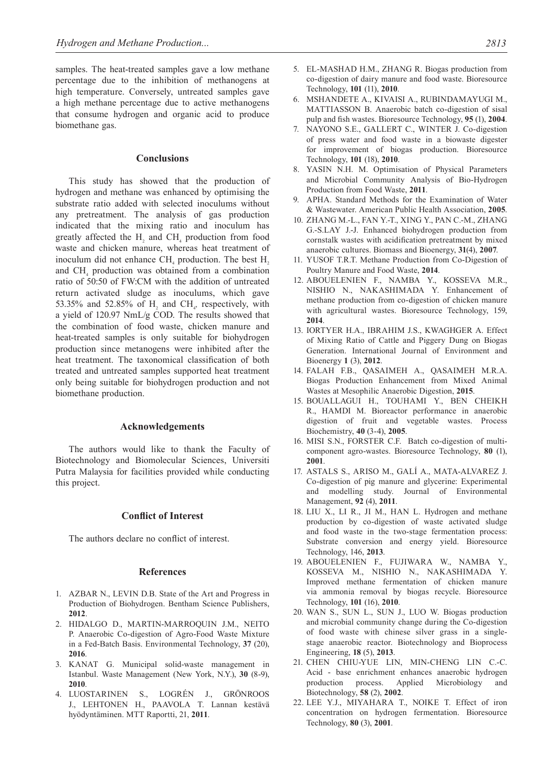samples. The heat-treated samples gave a low methane percentage due to the inhibition of methanogens at high temperature. Conversely, untreated samples gave a high methane percentage due to active methanogens that consume hydrogen and organic acid to produce biomethane gas.

## **Conclusions**

This study has showed that the production of hydrogen and methane was enhanced by optimising the substrate ratio added with selected inoculums without any pretreatment. The analysis of gas production indicated that the mixing ratio and inoculum has greatly affected the  $H_2$  and CH<sub>4</sub> production from food waste and chicken manure, whereas heat treatment of inoculum did not enhance  $\text{CH}_4$  production. The best  $\text{H}_2$ and  $CH<sub>4</sub>$  production was obtained from a combination ratio of 50:50 of FW:CM with the addition of untreated return activated sludge as inoculums, which gave 53.35% and 52.85% of  $H_2$  and CH<sub>4</sub>, respectively, with a yield of 120.97 NmL/g COD. The results showed that the combination of food waste, chicken manure and heat-treated samples is only suitable for biohydrogen production since metanogens were inhibited after the heat treatment. The taxonomical classification of both treated and untreated samples supported heat treatment only being suitable for biohydrogen production and not biomethane production.

#### **Acknowledgements**

The authors would like to thank the Faculty of Biotechnology and Biomolecular Sciences, Universiti Putra Malaysia for facilities provided while conducting this project.

#### **Conflict of Interest**

The authors declare no conflict of interest.

#### **References**

- 1. AZBAR N., LEVIN D.B. State of the Art and Progress in Production of Biohydrogen. Bentham Science Publishers, **2012**.
- 2. HIDALGO D., MARTIN-MARROQUIN J.M., NEITO P. Anaerobic Co-digestion of Agro-Food Waste Mixture in a Fed-Batch Basis. Environmental Technology, **37** (20), **2016**.
- 3. KANAT G. Municipal solid-waste management in Istanbul. Waste Management (New York, N.Y.), **30** (8-9), **2010**.
- 4. LUOSTARINEN S., LOGRÉN J., GRÖNROOS J., LEHTONEN H., PAAVOLA T. Lannan kestävä hyödyntäminen. MTT Raportti, 21, **2011**.
- 5. EL-MASHAD H.M., ZHANG R. Biogas production from co-digestion of dairy manure and food waste. Bioresource Technology, **101** (11), **2010**.
- 6. MSHANDETE A., KIVAISI A., RUBINDAMAYUGI M., MATTIASSON B. Anaerobic batch co-digestion of sisal pulp and fish wastes. Bioresource Technology, **95** (1), **2004**.
- 7. NAYONO S.E., GALLERT C., WINTER J. Co-digestion of press water and food waste in a biowaste digester for improvement of biogas production. Bioresource Technology, **101** (18), **2010**.
- 8. YASIN N.H. M. Optimisation of Physical Parameters and Microbial Community Analysis of Bio-Hydrogen Production from Food Waste, **2011**.
- 9. APHA. Standard Methods for the Examination of Water & Wastewater. American Public Health Association, **2005**.
- 10. ZHANG M.-L., FAN Y.-T., XING Y., PAN C.-M., ZHANG G.-S.LAY J.-J. Enhanced biohydrogen production from cornstalk wastes with acidification pretreatment by mixed anaerobic cultures. Biomass and Bioenergy, **31**(4), **2007**.
- 11. YUSOF T.R.T. Methane Production from Co-Digestion of Poultry Manure and Food Waste, **2014**.
- 12. ABOUELENIEN F., NAMBA Y., KOSSEVA M.R., NISHIO N., NAKASHIMADA Y. Enhancement of methane production from co-digestion of chicken manure with agricultural wastes. Bioresource Technology, 159, **2014**.
- 13. IORTYER H.A., IBRAHIM J.S., KWAGHGER A. Effect of Mixing Ratio of Cattle and Piggery Dung on Biogas Generation. International Journal of Environment and Bioenergy **1** (3), **2012**.
- 14. FALAH F.B., QASAIMEH A., QASAIMEH M.R.A. Biogas Production Enhancement from Mixed Animal Wastes at Mesophilic Anaerobic Digestion, **2015**.
- 15. BOUALLAGUI H., TOUHAMI Y., BEN CHEIKH R., HAMDI M. Bioreactor performance in anaerobic digestion of fruit and vegetable wastes. Process Biochemistry, **40** (3-4), **2005**.
- 16. MISI S.N., FORSTER C.F. Batch co-digestion of multicomponent agro-wastes. Bioresource Technology, **80** (1), **2001**.
- 17. ASTALS S., ARISO M., GALÍ A., MATA-ALVAREZ J. Co-digestion of pig manure and glycerine: Experimental and modelling study. Journal of Environmental Management, **92** (4), **2011**.
- 18. LIU X., LI R., JI M., HAN L. Hydrogen and methane production by co-digestion of waste activated sludge and food waste in the two-stage fermentation process: Substrate conversion and energy yield. Bioresource Technology, 146, **2013**.
- 19. ABOUELENIEN F., FUJIWARA W., NAMBA Y., KOSSEVA M., NISHIO N., NAKASHIMADA Y. Improved methane fermentation of chicken manure via ammonia removal by biogas recycle. Bioresource Technology, **101** (16), **2010**.
- 20. WAN S., SUN L., SUN J., LUO W. Biogas production and microbial community change during the Co-digestion of food waste with chinese silver grass in a singlestage anaerobic reactor. Biotechnology and Bioprocess Engineering, **18** (5), **2013**.
- 21. CHEN CHIU-YUE LIN, MIN-CHENG LIN C.-C. Acid - base enrichment enhances anaerobic hydrogen production process. Applied Microbiology and Biotechnology, **58** (2), **2002**.
- 22. LEE Y.J., MIYAHARA T., NOIKE T. Effect of iron concentration on hydrogen fermentation. Bioresource Technology, **80** (3), **2001**.